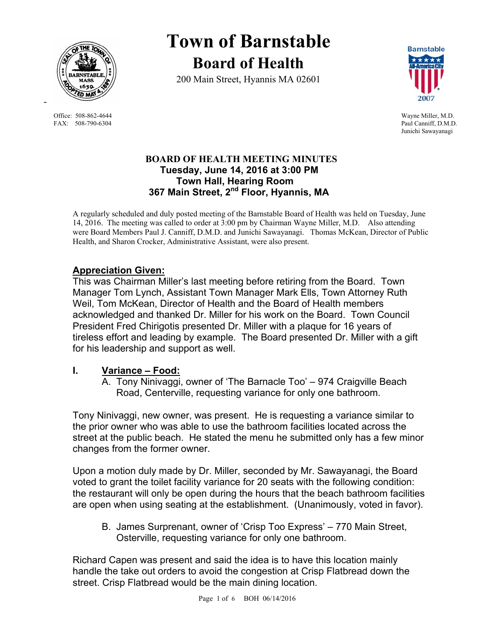

Office: 508-862-4644 Wayne Miller, M.D.<br>
FAX: 508-790-6304 Paul Canniff, D.M.D. FAX: 508-790-6304

# **Town of Barnstable Board of Health**

200 Main Street, Hyannis MA 02601



Junichi Sawayanagi

#### **BOARD OF HEALTH MEETING MINUTES Tuesday, June 14, 2016 at 3:00 PM Town Hall, Hearing Room 367 Main Street, 2nd Floor, Hyannis, MA**

A regularly scheduled and duly posted meeting of the Barnstable Board of Health was held on Tuesday, June 14, 2016. The meeting was called to order at 3:00 pm by Chairman Wayne Miller, M.D. Also attending were Board Members Paul J. Canniff, D.M.D. and Junichi Sawayanagi. Thomas McKean, Director of Public Health, and Sharon Crocker, Administrative Assistant, were also present.

# **Appreciation Given:**

This was Chairman Miller's last meeting before retiring from the Board. Town Manager Tom Lynch, Assistant Town Manager Mark Ells, Town Attorney Ruth Weil, Tom McKean, Director of Health and the Board of Health members acknowledged and thanked Dr. Miller for his work on the Board. Town Council President Fred Chirigotis presented Dr. Miller with a plaque for 16 years of tireless effort and leading by example. The Board presented Dr. Miller with a gift for his leadership and support as well.

## **I. Variance – Food:**

A. Tony Ninivaggi, owner of 'The Barnacle Too' – 974 Craigville Beach Road, Centerville, requesting variance for only one bathroom.

Tony Ninivaggi, new owner, was present. He is requesting a variance similar to the prior owner who was able to use the bathroom facilities located across the street at the public beach. He stated the menu he submitted only has a few minor changes from the former owner.

Upon a motion duly made by Dr. Miller, seconded by Mr. Sawayanagi, the Board voted to grant the toilet facility variance for 20 seats with the following condition: the restaurant will only be open during the hours that the beach bathroom facilities are open when using seating at the establishment. (Unanimously, voted in favor).

B. James Surprenant, owner of 'Crisp Too Express' – 770 Main Street, Osterville, requesting variance for only one bathroom.

Richard Capen was present and said the idea is to have this location mainly handle the take out orders to avoid the congestion at Crisp Flatbread down the street. Crisp Flatbread would be the main dining location.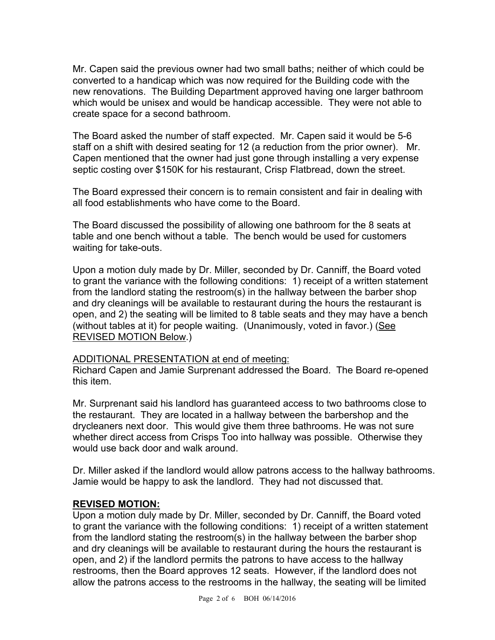Mr. Capen said the previous owner had two small baths; neither of which could be converted to a handicap which was now required for the Building code with the new renovations. The Building Department approved having one larger bathroom which would be unisex and would be handicap accessible. They were not able to create space for a second bathroom.

The Board asked the number of staff expected. Mr. Capen said it would be 5-6 staff on a shift with desired seating for 12 (a reduction from the prior owner). Mr. Capen mentioned that the owner had just gone through installing a very expense septic costing over \$150K for his restaurant, Crisp Flatbread, down the street.

The Board expressed their concern is to remain consistent and fair in dealing with all food establishments who have come to the Board.

The Board discussed the possibility of allowing one bathroom for the 8 seats at table and one bench without a table. The bench would be used for customers waiting for take-outs.

Upon a motion duly made by Dr. Miller, seconded by Dr. Canniff, the Board voted to grant the variance with the following conditions: 1) receipt of a written statement from the landlord stating the restroom(s) in the hallway between the barber shop and dry cleanings will be available to restaurant during the hours the restaurant is open, and 2) the seating will be limited to 8 table seats and they may have a bench (without tables at it) for people waiting. (Unanimously, voted in favor.) (See REVISED MOTION Below.)

#### ADDITIONAL PRESENTATION at end of meeting:

Richard Capen and Jamie Surprenant addressed the Board. The Board re-opened this item.

Mr. Surprenant said his landlord has guaranteed access to two bathrooms close to the restaurant. They are located in a hallway between the barbershop and the drycleaners next door. This would give them three bathrooms. He was not sure whether direct access from Crisps Too into hallway was possible. Otherwise they would use back door and walk around.

Dr. Miller asked if the landlord would allow patrons access to the hallway bathrooms. Jamie would be happy to ask the landlord. They had not discussed that.

#### **REVISED MOTION:**

Upon a motion duly made by Dr. Miller, seconded by Dr. Canniff, the Board voted to grant the variance with the following conditions: 1) receipt of a written statement from the landlord stating the restroom(s) in the hallway between the barber shop and dry cleanings will be available to restaurant during the hours the restaurant is open, and 2) if the landlord permits the patrons to have access to the hallway restrooms, then the Board approves 12 seats. However, if the landlord does not allow the patrons access to the restrooms in the hallway, the seating will be limited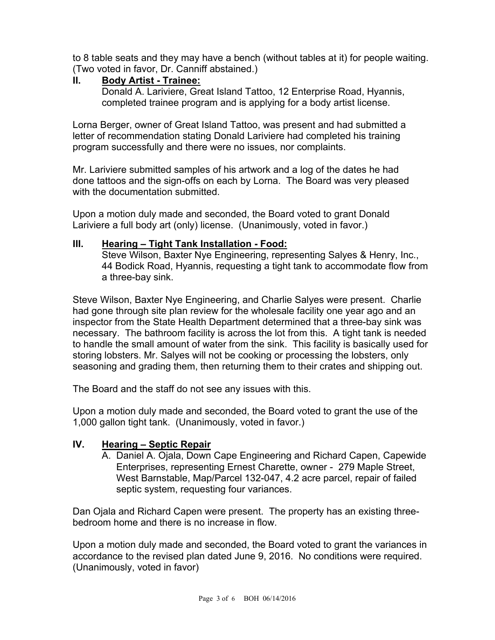to 8 table seats and they may have a bench (without tables at it) for people waiting. (Two voted in favor, Dr. Canniff abstained.)

#### **II. Body Artist - Trainee:**

Donald A. Lariviere, Great Island Tattoo, 12 Enterprise Road, Hyannis, completed trainee program and is applying for a body artist license.

Lorna Berger, owner of Great Island Tattoo, was present and had submitted a letter of recommendation stating Donald Lariviere had completed his training program successfully and there were no issues, nor complaints.

Mr. Lariviere submitted samples of his artwork and a log of the dates he had done tattoos and the sign-offs on each by Lorna. The Board was very pleased with the documentation submitted.

Upon a motion duly made and seconded, the Board voted to grant Donald Lariviere a full body art (only) license. (Unanimously, voted in favor.)

## **III. Hearing – Tight Tank Installation - Food:**

Steve Wilson, Baxter Nye Engineering, representing Salyes & Henry, Inc., 44 Bodick Road, Hyannis, requesting a tight tank to accommodate flow from a three-bay sink.

Steve Wilson, Baxter Nye Engineering, and Charlie Salyes were present. Charlie had gone through site plan review for the wholesale facility one year ago and an inspector from the State Health Department determined that a three-bay sink was necessary. The bathroom facility is across the lot from this. A tight tank is needed to handle the small amount of water from the sink. This facility is basically used for storing lobsters. Mr. Salyes will not be cooking or processing the lobsters, only seasoning and grading them, then returning them to their crates and shipping out.

The Board and the staff do not see any issues with this.

Upon a motion duly made and seconded, the Board voted to grant the use of the 1,000 gallon tight tank. (Unanimously, voted in favor.)

## **IV. Hearing – Septic Repair**

A. Daniel A. Ojala, Down Cape Engineering and Richard Capen, Capewide Enterprises, representing Ernest Charette, owner - 279 Maple Street, West Barnstable, Map/Parcel 132-047, 4.2 acre parcel, repair of failed septic system, requesting four variances.

Dan Ojala and Richard Capen were present. The property has an existing threebedroom home and there is no increase in flow.

Upon a motion duly made and seconded, the Board voted to grant the variances in accordance to the revised plan dated June 9, 2016. No conditions were required. (Unanimously, voted in favor)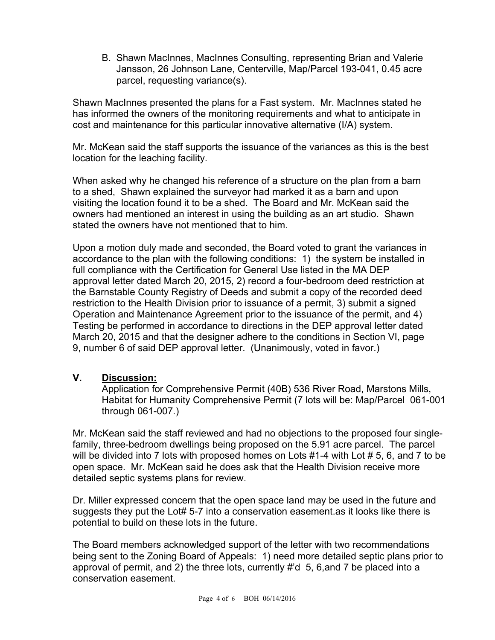B. Shawn MacInnes, MacInnes Consulting, representing Brian and Valerie Jansson, 26 Johnson Lane, Centerville, Map/Parcel 193-041, 0.45 acre parcel, requesting variance(s).

Shawn MacInnes presented the plans for a Fast system. Mr. MacInnes stated he has informed the owners of the monitoring requirements and what to anticipate in cost and maintenance for this particular innovative alternative (I/A) system.

Mr. McKean said the staff supports the issuance of the variances as this is the best location for the leaching facility.

When asked why he changed his reference of a structure on the plan from a barn to a shed, Shawn explained the surveyor had marked it as a barn and upon visiting the location found it to be a shed. The Board and Mr. McKean said the owners had mentioned an interest in using the building as an art studio. Shawn stated the owners have not mentioned that to him.

Upon a motion duly made and seconded, the Board voted to grant the variances in accordance to the plan with the following conditions: 1) the system be installed in full compliance with the Certification for General Use listed in the MA DEP approval letter dated March 20, 2015, 2) record a four-bedroom deed restriction at the Barnstable County Registry of Deeds and submit a copy of the recorded deed restriction to the Health Division prior to issuance of a permit, 3) submit a signed Operation and Maintenance Agreement prior to the issuance of the permit, and 4) Testing be performed in accordance to directions in the DEP approval letter dated March 20, 2015 and that the designer adhere to the conditions in Section VI, page 9, number 6 of said DEP approval letter. (Unanimously, voted in favor.)

## **V. Discussion:**

Application for Comprehensive Permit (40B) 536 River Road, Marstons Mills, Habitat for Humanity Comprehensive Permit (7 lots will be: Map/Parcel 061-001 through 061-007.)

Mr. McKean said the staff reviewed and had no objections to the proposed four singlefamily, three-bedroom dwellings being proposed on the 5.91 acre parcel. The parcel will be divided into 7 lots with proposed homes on Lots #1-4 with Lot # 5, 6, and 7 to be open space. Mr. McKean said he does ask that the Health Division receive more detailed septic systems plans for review.

Dr. Miller expressed concern that the open space land may be used in the future and suggests they put the Lot# 5-7 into a conservation easement.as it looks like there is potential to build on these lots in the future.

The Board members acknowledged support of the letter with two recommendations being sent to the Zoning Board of Appeals: 1) need more detailed septic plans prior to approval of permit, and 2) the three lots, currently #'d 5, 6,and 7 be placed into a conservation easement.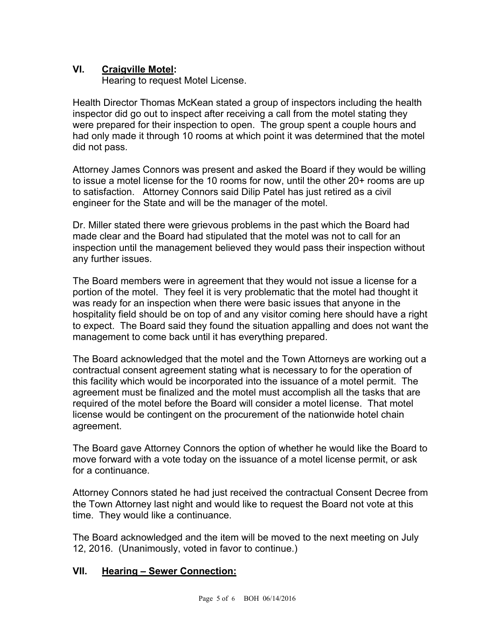## **VI. Craigville Motel:**

Hearing to request Motel License.

Health Director Thomas McKean stated a group of inspectors including the health inspector did go out to inspect after receiving a call from the motel stating they were prepared for their inspection to open. The group spent a couple hours and had only made it through 10 rooms at which point it was determined that the motel did not pass.

Attorney James Connors was present and asked the Board if they would be willing to issue a motel license for the 10 rooms for now, until the other 20+ rooms are up to satisfaction. Attorney Connors said Dilip Patel has just retired as a civil engineer for the State and will be the manager of the motel.

Dr. Miller stated there were grievous problems in the past which the Board had made clear and the Board had stipulated that the motel was not to call for an inspection until the management believed they would pass their inspection without any further issues.

The Board members were in agreement that they would not issue a license for a portion of the motel. They feel it is very problematic that the motel had thought it was ready for an inspection when there were basic issues that anyone in the hospitality field should be on top of and any visitor coming here should have a right to expect. The Board said they found the situation appalling and does not want the management to come back until it has everything prepared.

The Board acknowledged that the motel and the Town Attorneys are working out a contractual consent agreement stating what is necessary to for the operation of this facility which would be incorporated into the issuance of a motel permit. The agreement must be finalized and the motel must accomplish all the tasks that are required of the motel before the Board will consider a motel license. That motel license would be contingent on the procurement of the nationwide hotel chain agreement.

The Board gave Attorney Connors the option of whether he would like the Board to move forward with a vote today on the issuance of a motel license permit, or ask for a continuance.

Attorney Connors stated he had just received the contractual Consent Decree from the Town Attorney last night and would like to request the Board not vote at this time. They would like a continuance.

The Board acknowledged and the item will be moved to the next meeting on July 12, 2016. (Unanimously, voted in favor to continue.)

#### **VII. Hearing – Sewer Connection:**